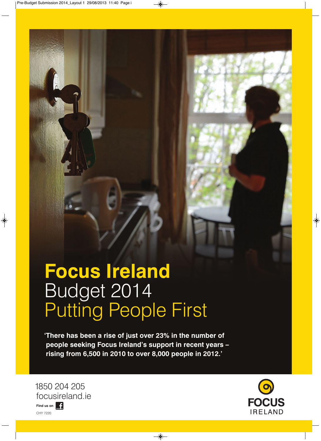## **Focus Ireland** Budget 2014 Putting People First

**'There has been a rise of just over 23% in the number of people seeking Focus Ireland's support in recent years – rising from 6,500 in 2010 to over 8,000 people in 2012.'**

1850 204 205 focusireland.ie Find us on **Fig.** CHY 7220

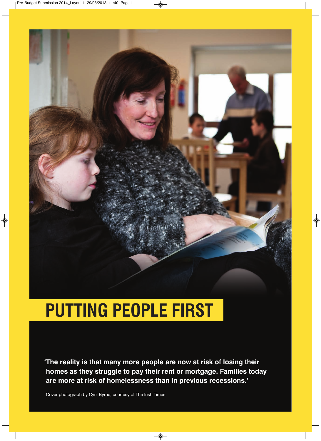### **PUTTING PEOPLE FIRST**

**'The reality is that many more people are now at risk of losing their homes as they struggle to pay their rent or mortgage. Families today are more at risk of homelessness than in previous recessions.'**

Cover photograph by Cyril Byrne, courtesy of The Irish Times.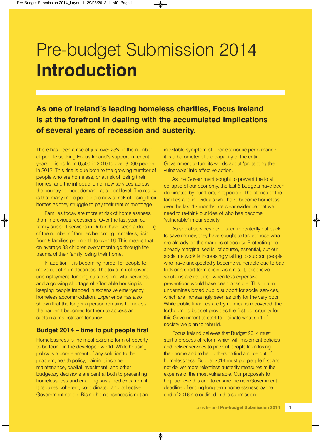### Pre-budget Submission 2014 **Introduction**

#### **As one of Ireland's leading homeless charities, Focus Ireland is at the forefront in dealing with the accumulated implications of several years of recession and austerity.**

There has been a rise of just over 23% in the number of people seeking Focus Ireland's support in recent years – rising from 6,500 in 2010 to over 8,000 people in 2012. This rise is due both to the growing number of people who are homeless, or at risk of losing their homes, and the introduction of new services across the country to meet demand at a local level. The reality is that many more people are now at risk of losing their homes as they struggle to pay their rent or mortgage.

Families today are more at risk of homelessness than in previous recessions. Over the last year, our family support services in Dublin have seen a doubling of the number of families becoming homeless, rising from 8 families per month to over 16. This means that on average 33 children every month go through the trauma of their family losing their home.

In addition, it is becoming harder for people to move out of homelessness. The toxic mix of severe unemployment, funding cuts to some vital services, and a growing shortage of affordable housing is keeping people trapped in expensive emergency homeless accommodation. Experience has also shown that the longer a person remains homeless, the harder it becomes for them to access and sustain a mainstream tenancy.

#### **Budget 2014 – time to put people first**

Homelessness is the most extreme form of poverty to be found in the developed world. While housing policy is a core element of any solution to the problem, health policy, training, income maintenance, capital investment, and other budgetary decisions are central both to preventing homelessness and enabling sustained exits from it. It requires coherent, co-ordinated and collective Government action. Rising homelessness is not an

inevitable symptom of poor economic performance, it is a barometer of the capacity of the entire Government to turn its words about 'protecting the vulnerable' into effective action.

As the Government sought to prevent the total collapse of our economy, the last 5 budgets have been dominated by numbers, not people. The stories of the families and individuals who have become homeless over the last 12 months are clear evidence that we need to re-think our idea of who has become 'vulnerable' in our society.

As social services have been repeatedly cut back to save money, they have sought to target those who are already on the margins of society. Protecting the already marginalised is, of course, essential, but our social network is increasingly failing to support people who have unexpectedly become vulnerable due to bad luck or a short-term crisis. As a result, expensive solutions are required when less expensive preventions would have been possible. This in turn undermines broad public support for social services, which are increasingly seen as only for the very poor. While public finances are by no means recovered, the forthcoming budget provides the first opportunity for this Government to start to indicate what sort of society we plan to rebuild.

Focus Ireland believes that Budget 2014 must start a process of reform which will implement policies and deliver services to prevent people from losing their home and to help others to find a route out of homelessness. Budget 2014 must put people first and not deliver more relentless austerity measures at the expense of the most vulnerable. Our proposals to help achieve this and to ensure the new Government deadline of ending long-term homelessness by the end of 2016 are outlined in this submission.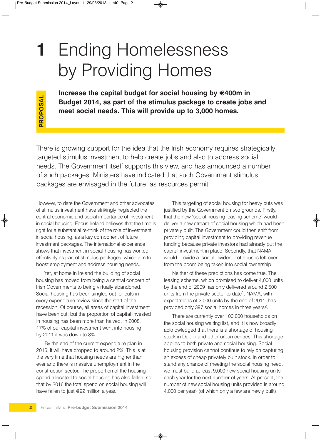## **1** Ending Homelessness by Providing Homes

**Increase the capital budget for social housing by €400m in Budget 2014, as part of the stimulus package to create jobs and meet social needs. This will provide up to 3,000 homes.**

There is growing support for the idea that the Irish economy requires strategically targeted stimulus investment to help create jobs and also to address social needs. The Government itself supports this view, and has announced a number of such packages. Ministers have indicated that such Government stimulus packages are envisaged in the future, as resources permit.

However, to date the Government and other advocates of stimulus investment have strikingly neglected the central economic and social importance of investment in social housing. Focus Ireland believes that the time is right for a substantial re-think of the role of investment in social housing, as a key component of future investment packages. The international experience shows that investment in social housing has worked effectively as part of stimulus packages, which aim to boost employment and address housing needs.

Yet, at home in Ireland the building of social housing has moved from being a central concern of Irish Governments to being virtually abandoned. Social housing has been singled out for cuts in every expenditure review since the start of the recession. Of course, all areas of capital investment have been cut, but the proportion of capital invested in housing has been more than halved. In 2008, 17% of our capital investment went into housing; by 2011 it was down to 8%.

By the end of the current expenditure plan in 2016, it will have dropped to around 2%. This is at the very time that housing needs are higher than ever and there is massive unemployment in the construction sector. The proportion of the housing spend allocated to social housing has also fallen, so that by 2016 the total spend on social housing will have fallen to just €92 million a year.

This targeting of social housing for heavy cuts was justified by the Government on two grounds. Firstly, that the new 'social housing leasing scheme' would deliver a new stream of social housing which had been privately built. The Government could then shift from providing capital investment to providing revenue funding because private investors had already put the capital investment in place. Secondly, that NAMA would provide a 'social dividend' of houses left over from the boom being taken into social ownership.

Neither of these predictions has come true. The leasing scheme, which promised to deliver 4,000 units by the end of 2009 has only delivered around 2,500 units from the private sector to date<sup>1</sup>. NAMA, with expectations of 2,000 units by the end of 2011, has provided only 397 social homes in three years2.

There are currently over 100,000 households on the social housing waiting list, and it is now broadly acknowledged that there is a shortage of housing stock in Dublin and other urban centres. This shortage applies to both private and social housing. Social housing provision cannot continue to rely on capturing an excess of cheap privately built stock. In order to stand any chance of meeting the social housing need, we must build at least 9,000 new social housing units each year for the next number of years. At present, the number of new social housing units provided is around 4,000 per year3 (of which only a few are newly built).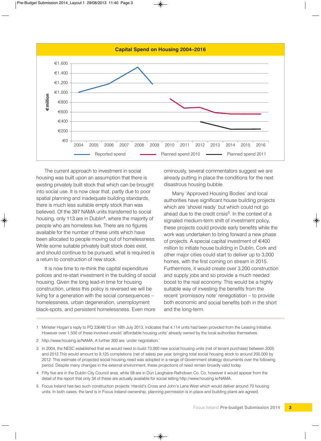

The current approach to investment in social housing was built upon an assumption that there is existing privately built stock that which can be brought into social use. It is now clear that, partly due to poor spatial planning and inadequate building standards, there is much less suitable empty stock than was believed. Of the 397 NAMA units transferred to social housing, only 113 are in Dublin<sup>4</sup>, where the majority of people who are homeless live. There are no figures available for the number of these units which have been allocated to people moving out of homelessness. While some suitable privately built stock does exist, and should continue to be pursued, what is required is a return to construction of new stock.

It is now time to re-think the capital expenditure polices and re-start investment in the building of social housing. Given the long lead-in time for housing construction, unless this policy is reversed we will be living for a generation with the social consequences – homelessness, urban degeneration, unemployment black-spots, and persistent homelessness. Even more

ominously, several commentators suggest we are already putting in place the conditions for the next disastrous housing bubble.

Many 'Approved Housing Bodies' and local authorities have significant house building projects which are 'shovel ready' but which could not go ahead due to the credit crisis<sup>5</sup>. In the context of a signaled medium-term shift of investment policy, these projects could provide early benefits while the work was undertaken to bring forward a new phase of projects. A special capital investment of  $\in$ 400 million to initiate house building in Dublin, Cork and other major cities could start to deliver up to 3,000 homes, with the first coming on stream in 2015. Furthermore, it would create over 3,200 construction and supply jobs and so provide a much needed boost to the real economy. This would be a highly suitable way of investing the benefits from the recent 'promissory note' renegotiation – to provide both economic and social benefits both in the short and the long-term.

- 1 Minister Hogan's reply to PQ 33648/13 on 16th July 2013, indicates that 4,114 units had been provided from the Leasing Initiative. However over 1,500 of these involved unsold 'affordable housing units' already owned by the local authorities themselves.
- 2 http://www.housing.ie/NAMA. A further 300 are 'under negotiation.'
- 3 In 2004, the NESC established that we would need to build 73,000 new social housing units (net of tenant purchase) between 2005 and 2012.This would amount to 9,125 completions (net of sales) per year, bringing total social housing stock to around 200,000 by 2012. This estimate of projected social housing need was adopted in a range of Government strategy documents over the following period. Despite many changes in the external environment, these projections of need remain broadly valid today.
- 4 Fifty five are in the Dublin City Council area, while 58 are in Dún Laoghaire-Rathdown Co. Co, however it would appear from the detail of the report that only 34 of these are actually available for social letting http://www.housing.ie/NAMA.
- 5 Focus Ireland has two such construction projects: Harold's Cross and John's Lane West which would deliver around 70 housing units. In both cases, the land is in Focus Ireland ownership, planning permission is in place and building plans are agreed.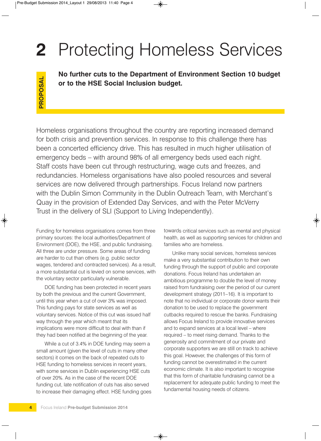# **2** Protecting Homeless Services

**No further cuts to the Department of Environment Section 10 budget or to the HSE Social Inclusion budget.**

Homeless organisations throughout the country are reporting increased demand for both crisis and prevention services. In response to this challenge there has been a concerted efficiency drive. This has resulted in much higher utilisation of emergency beds – with around 98% of all emergency beds used each night. Staff costs have been cut through restructuring, wage cuts and freezes, and redundancies. Homeless organisations have also pooled resources and several services are now delivered through partnerships. Focus Ireland now partners with the Dublin Simon Community in the Dublin Outreach Team, with Merchant's Quay in the provision of Extended Day Services, and with the Peter McVerry or to the HSE Social Inclusion budget.<br>
Homeless organisations throughout the country are reporting<br>
for both crisis and prevention services. In response to this cl<br>
been a concerted efficiency drive. This has resulted in

Funding for homeless organisations comes from three primary sources: the local authorities/Department of Environment (DOE), the HSE, and public fundraising. All three are under pressure. Some areas of funding are harder to cut than others (e.g. public sector wages, tendered and contracted services). As a result, a more substantial cut is levied on some services, with the voluntary sector particularly vulnerable.

DOE funding has been protected in recent years by both the previous and the current Government, until this year when a cut of over 3% was imposed. This funding pays for state services as well as voluntary services. Notice of this cut was issued half way through the year which meant that its implications were more difficult to deal with than if they had been notified at the beginning of the year.

While a cut of 3.4% in DOE funding may seem a small amount (given the level of cuts in many other sectors) it comes on the back of repeated cuts to HSE funding to homeless services in recent years, with some services in Dublin experiencing HSE cuts of over 20%. As in the case of the recent DOE funding cut, late notification of cuts has also served to increase their damaging effect. HSE funding goes towards critical services such as mental and physical health, as well as supporting services for children and families who are homeless.

Unlike many social services, homeless services make a very substantial contribution to their own funding through the support of public and corporate donations. Focus Ireland has undertaken an ambitious programme to double the level of money raised from fundraising over the period of our current development strategy (2011–16). It is important to note that no individual or corporate donor wants their donation to be used to replace the government cutbacks required to rescue the banks. Fundraising allows Focus Ireland to provide innovative services and to expand services at a local level – where required – to meet rising demand. Thanks to the generosity and commitment of our private and corporate supporters we are still on track to achieve this goal. However, the challenges of this form of funding cannot be overestimated in the current economic climate. It is also important to recognise that this form of charitable fundraising cannot be a replacement for adequate public funding to meet the fundamental housing needs of citizens.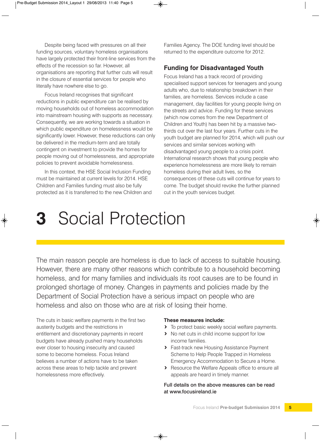Despite being faced with pressures on all their funding sources, voluntary homeless organisations have largely protected their front-line services from the effects of the recession so far. However, all organisations are reporting that further cuts will result in the closure of essential services for people who literally have nowhere else to go.

Focus Ireland recognises that significant reductions in public expenditure can be realised by moving households out of homeless accommodation into mainstream housing with supports as necessary. Consequently, we are working towards a situation in which public expenditure on homelessness would be significantly lower. However, these reductions can only be delivered in the medium-term and are totally contingent on investment to provide the homes for people moving out of homelessness, and appropriate policies to prevent avoidable homelessness.

In this context, the HSE Social Inclusion Funding must be maintained at current levels for 2014. HSE Children and Families funding must also be fully protected as it is transferred to the new Children and Families Agency. The DOE funding level should be returned to the expenditure outcome for 2012.

#### **Funding for Disadvantaged Youth**

Focus Ireland has a track record of providing specialised support services for teenagers and young adults who, due to relationship breakdown in their families, are homeless. Services include a case management, day facilities for young people living on the streets and advice. Funding for these services (which now comes from the new Department of Children and Youth) has been hit by a massive twothirds cut over the last four years. Further cuts in the youth budget are planned for 2014, which will push our services and similar services working with disadvantaged young people to a crisis point. International research shows that young people who experience homelessness are more likely to remain homeless during their adult lives, so the consequences of these cuts will continue for years to come. The budget should revoke the further planned cut in the youth services budget.

### **3** Social Protection

The main reason people are homeless is due to lack of access to suitable housing. However, there are many other reasons which contribute to a household becoming homeless, and for many families and individuals its root causes are to be found in prolonged shortage of money. Changes in payments and policies made by the Department of Social Protection have a serious impact on people who are homeless and also on those who are at risk of losing their home.

The cuts in basic welfare payments in the first two austerity budgets and the restrictions in entitlement and discretionary payments in recent budgets have already pushed many households ever closer to housing insecurity and caused some to become homeless. Focus Ireland believes a number of actions have to be taken across these areas to help tackle and prevent homelessness more effectively.

#### **These measures include:**

- **>** To protect basic weekly social welfare payments.
- **>** No net cuts in child income support for low income families.
- **>** Fast-track new Housing Assistance Payment Scheme to Help People Trapped in Homeless Emergency Accommodation to Secure a Home.
- **>** Resource the Welfare Appeals office to ensure all appeals are heard in timely manner.

Full details on the above measures can be read at www.focusireland.ie